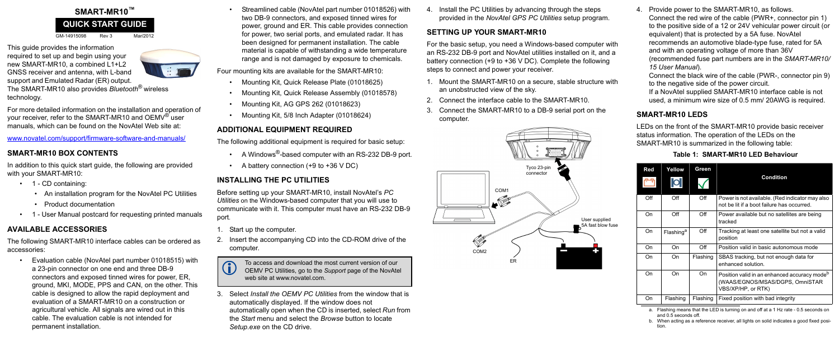# **SMART-MR10™**

GM-14915098 Rev 3 Mar/2012

This guide provides the information required to set up and begin using your new SMART-MR10, a combined L1+L2 GNSS receiver and antenna, with L-band support and Emulated Radar (ER) output.

The SMART-MR10 also provides *Bluetooth*® wireless technology.

For more detailed information on the installation and operation of your receiver, refer to the SMART-MR10 and OEMV<sup>®</sup> user manuals, which can be found on the NovAtel Web site at:

- 1 CD containing:
	- An installation program for the NovAtel PC Utilities
	- Product documentation
- 1 User Manual postcard for requesting printed manuals

www.novatel.com/support/firmware-software-and-manuals/

## **SMART-MR10 BOX CONTENTS**

In addition to this quick start guide, the following are provided with your SMART-MR10:

## **AVAILABLE ACCESSORIES**

The following SMART-MR10 interface cables can be ordered as accessories:

- A Windows<sup>®</sup>-based computer with an RS-232 DB-9 port.
- A battery connection (+9 to +36 V DC)

• Evaluation cable (NovAtel part number 01018515) with a 23-pin connector on one end and three DB-9 connectors and exposed tinned wires for power, ER, ground, MKI, MODE, PPS and CAN, on the other. This cable is designed to allow the rapid deployment and evaluation of a SMART-MR10 on a construction or agricultural vehicle. All signals are wired out in this cable. The evaluation cable is not intended for permanent installation.

• Streamlined cable (NovAtel part number 01018526) with two DB-9 connectors, and exposed tinned wires for power, ground and ER. This cable provides connection for power, two serial ports, and emulated radar. It has been designed for permanent installation. The cable material is capable of withstanding a wide temperature range and is not damaged by exposure to chemicals.

Four mounting kits are available for the SMART-MR10:

- Mounting Kit, Quick Release Plate (01018625)
- Mounting Kit, Quick Release Assembly (01018578)
- Mounting Kit, AG GPS 262 (01018623)
- Mounting Kit, 5/8 Inch Adapter (01018624)

## **ADDITIONAL EQUIPMENT REQUIRED**

The following additional equipment is required for basic setup:

To access and download the most current version of our<br>OEMV PC Utilities, go to the *Support* page of the NovAtel web site at www.novatel.com.

## **INSTALLING THE PC UTILITIES**

Before setting up your SMART-MR10, install NovAtel's *PC Utilities* on the Windows-based computer that you will use to communicate with it. This computer must have an RS-232 DB-9 port*.*

- 1. Start up the computer.
- Insert the accompanying CD into the CD-ROM drive of the computer.

3. Select *Install the OEMV PC Utilities* from the window that is automatically displayed. If the window does not automatically open when the CD is inserted, select *Run* from the *Start* menu and select the *Browse* button to locate *Setup.exe* on the CD drive.

4. Install the PC Utilities by advancing through the steps provided in the *NovAtel GPS PC Utilities* setup program.

#### **SETTING UP YOUR SMART-MR10**

For the basic setup, you need a Windows-based computer with an RS-232 DB-9 port and NovAtel utilities installed on it, and a battery connection (+9 to +36 V DC). Complete the following steps to connect and power your receiver.

- 1. Mount the SMART-MR10 on a secure, stable structure with an unobstructed view of the sky.
- 2. Connect the interface cable to the SMART-MR10.
- 3. Connect the SMART-MR10 to a DB-9 serial port on the computer.

4. Provide power to the SMART-MR10, as follows. Connect the red wire of the cable (PWR+, connector pin 1) to the positive side of a 12 or 24V vehicular power circuit (or equivalent) that is protected by a 5A fuse. NovAtel recommends an automotive blade-type fuse, rated for 5A and with an operating voltage of more than 36V (recommended fuse part numbers are in the *SMART-MR10/ 15 User Manual*).

Connect the black wire of the cable (PWR-, connector pin 9) to the negative side of the power circuit.

If a NovAtel supplied SMART-MR10 interface cable is not used, a minimum wire size of 0.5 mm/ 20AWG is required.

## **SMART-MR10 LEDS**

LEDs on the front of the SMART-MR10 provide basic receiver status information. The operation of the LEDs on the SMART-MR10 is summarized in the following table:

## **QUICK START GUIDE**





| <b>Red</b> | Yellow                | Green    |                                                                                                                   |
|------------|-----------------------|----------|-------------------------------------------------------------------------------------------------------------------|
|            | $\mathsf{D}$          |          | <b>Condition</b>                                                                                                  |
| Off        | Off                   | Off      | Power is not available. (Red indicator may also<br>not be lit if a boot failure has occurred.                     |
| On         | Off                   | Off      | Power available but no satellites are being<br>tracked                                                            |
| On.        | Flashing <sup>a</sup> | Off      | Tracking at least one satellite but not a valid<br>position                                                       |
| On         | On                    | Off      | Position valid in basic autonomous mode                                                                           |
| On         | On                    | Flashing | SBAS tracking, but not enough data for<br>enhanced solution.                                                      |
| On         | On                    | On       | Position valid in an enhanced accuracy mode <sup>b</sup><br>(WAAS/EGNOS/MSAS/DGPS, OmniSTAR<br>VBS/XP/HP, or RTK) |
| On         | Flashing              | Flashing | Fixed position with bad integrity                                                                                 |

 **Table 1: SMART-MR10 LED Behaviour**

- a. Flashing means that the LED is turning on and off at a 1 Hz rate 0.5 seconds on and 0.5 seconds off.
- b. When acting as a reference receiver, all lights on solid indicates a good fixed position.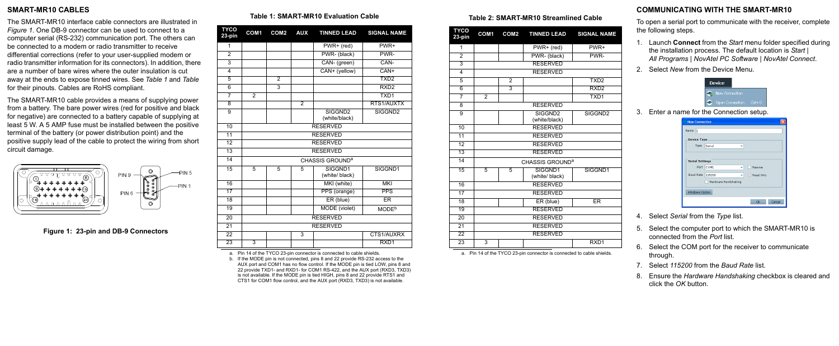#### **SMART-MR10 CABLES**

The SMART-MR10 interface cable connectors are illustrated in *[Figure 1](#page-1-2)*. One DB-9 connector can be used to connect to a computer serial (RS-232) communication port. The others can be connected to a modem or radio transmitter to receive differential corrections (refer to your user-supplied modem or radio transmitter information for its connectors). In addition, there are a number of bare wires where the outer insulation is cut away at the ends to expose tinned wires. See *[Table 1](#page-1-0)* and *[Table](#page-1-1)*  for their pinouts. Cables are RoHS compliant.

The SMART-MR10 cable provides a means of supplying power from a battery. The bare power wires (red for positive and black for negative) are connected to a battery capable of supplying at least 5 W. A 5 AMP fuse must be installed between the positive terminal of the battery (or power distribution point) and the positive supply lead of the cable to protect the wiring from short circuit damage.



<span id="page-1-2"></span> **Figure 1: 23-pin and DB-9 Connectors**

## **COMMUNICATING WITH THE SMART-MR10**

To open a serial port to communicate with the receiver, complete the following steps.

- 1. Launch **Connect** from the *Start* menu folder specified during the installation process. The default location is *Start | All Programs | NovAtel PC Software | NovAtel Connect*.
- 2. Select *New* from the Device Menu.



3. Enter a name for the Connection setup.

| <b>New Connection</b>  |                      |              |
|------------------------|----------------------|--------------|
| Name<br>$\mathsf{l}$   |                      |              |
| <b>Device Type</b>     |                      |              |
| Type                   | Serial               |              |
|                        |                      |              |
| <b>Serial Settings</b> |                      |              |
| Port                   | COM1                 | Passive      |
| <b>Baud Rate</b>       | 115200               | Read Only    |
|                        | Hardware Handshaking |              |
| Windows Option         |                      |              |
|                        |                      | Cancel<br>Ok |

- 4. Select *Serial* from the *Type* list.
- 5. Select the computer port to which the SMART-MR10 is connected from the *Port* list.
- 6. Select the COM port for the receiver to communicate through.
- 7. Select *115200* from the *Baud Rate* list.
- 8. Ensure the *Hardware Handshaking* checkbox is cleared and click the *OK* button.

# **Table 1: SMART-MR10 Evaluation Cable**

a. Pin 14 of the TYCO 23-pin connector is connected to cable shields.

<span id="page-1-0"></span>

| <b>TYCO</b><br>23-pin | COM <sub>1</sub> | COM <sub>2</sub> | <b>AUX</b>     | <b>TINNED LEAD</b>                   | <b>SIGNAL NAME</b>  |
|-----------------------|------------------|------------------|----------------|--------------------------------------|---------------------|
| 1                     |                  |                  |                | PWR+ (red)                           | PWR+                |
| $\overline{2}$        |                  |                  |                | PWR- (black)                         | PWR-                |
| $\overline{3}$        |                  |                  |                | CAN- (green)                         | CAN-                |
| 4                     |                  |                  |                | CAN+ (yellow)                        | CAN+                |
| 5                     |                  | $\overline{2}$   |                |                                      | TXD <sub>2</sub>    |
| $\overline{6}$        |                  | $\overline{3}$   |                |                                      | RXD <sub>2</sub>    |
| 7                     | $\overline{2}$   |                  |                |                                      | TXD <sub>1</sub>    |
| 8                     |                  |                  | $\overline{2}$ |                                      | RTS1/AUXTX          |
| $\overline{9}$        |                  |                  |                | SIGGND <sub>2</sub><br>(white/black) | SIGGND <sub>2</sub> |
| 10                    |                  |                  |                | <b>RESERVED</b>                      |                     |
| 11                    |                  |                  |                | <b>RESERVED</b>                      |                     |
| 12                    |                  |                  |                | <b>RESERVED</b>                      |                     |
| 13                    |                  |                  |                | <b>RESERVED</b>                      |                     |
| $\overline{14}$       |                  |                  |                | CHASSIS GROUND <sup>a</sup>          |                     |
| 15                    | 5                | 5                | 5              | SIGGND1<br>SIGGND1<br>(white/ black) |                     |
| 16                    |                  |                  |                | MKI (white)<br><b>MKI</b>            |                     |
| $\overline{17}$       |                  |                  |                | PPS (orange)<br><b>PPS</b>           |                     |
| 18                    |                  |                  |                | ER (blue)                            | <b>ER</b>           |
| 19                    |                  |                  |                | MODE (violet)                        | MODE <sup>b</sup>   |
| $\overline{20}$       |                  |                  |                | <b>RESERVED</b>                      |                     |
| $\overline{21}$       |                  |                  |                | <b>RESERVED</b>                      |                     |
| $\overline{22}$       |                  |                  | 3              |                                      | CTS1/AUXRX          |
| $\overline{23}$       | 3                |                  |                |                                      | RXD <sub>1</sub>    |

b. If the MODE pin is not connected, pins 8 and 22 provide RS-232 access to the AUX port and COM1 has no flow control. If the MODE pin is tied LOW, pins 8 and 22 provide TXD1- and RXD1- for COM1 RS-422, and the AUX port (RXD3, TXD3) is not available. If the MODE pin is tied HIGH, pins 8 and 22 provide RTS1 and CTS1 for COM1 flow control, and the AUX port (RXD3, TXD3) is not available.

#### **Table 2: SMART-MR10 Streamlined Cable**

<span id="page-1-1"></span>

| <b>TYCO</b><br>23-pin | COM <sub>1</sub>            | COM <sub>2</sub> | <b>TINNED LEAD</b>                   | <b>SIGNAL NAME</b>  |  |  |  |
|-----------------------|-----------------------------|------------------|--------------------------------------|---------------------|--|--|--|
| 1                     |                             |                  | PWR+ (red)                           | PWR+                |  |  |  |
| 2                     |                             |                  | PWR- (black)                         | PWR-                |  |  |  |
| $\overline{3}$        |                             |                  | <b>RESERVED</b>                      |                     |  |  |  |
| $\overline{4}$        |                             |                  | <b>RESERVED</b>                      |                     |  |  |  |
| 5                     |                             | $\overline{2}$   |                                      | TXD <sub>2</sub>    |  |  |  |
| 6                     |                             | $\overline{3}$   |                                      | RXD <sub>2</sub>    |  |  |  |
| 7                     | $\overline{2}$              |                  |                                      | TXD <sub>1</sub>    |  |  |  |
| $\overline{8}$        |                             |                  | <b>RESERVED</b>                      |                     |  |  |  |
| $\overline{9}$        |                             |                  | SIGGND <sub>2</sub><br>(white/black) | SIGGND <sub>2</sub> |  |  |  |
| 10                    |                             |                  | <b>RESERVED</b>                      |                     |  |  |  |
| $\overline{11}$       |                             |                  | <b>RESERVED</b>                      |                     |  |  |  |
| $\overline{12}$       |                             | <b>RESERVED</b>  |                                      |                     |  |  |  |
| 13                    |                             | <b>RESERVED</b>  |                                      |                     |  |  |  |
| $\overline{14}$       | CHASSIS GROUND <sup>a</sup> |                  |                                      |                     |  |  |  |
| $\overline{15}$       | 5                           | 5                | SIGGND1<br>(white/ black)            | SIGGND1             |  |  |  |
| 16                    | <b>RESERVED</b>             |                  |                                      |                     |  |  |  |
| $\overline{17}$       | <b>RESERVED</b>             |                  |                                      |                     |  |  |  |
| 18                    |                             |                  | ER (blue)                            | ER                  |  |  |  |
| 19                    | <b>RESERVED</b>             |                  |                                      |                     |  |  |  |
| 20                    |                             |                  | <b>RESERVED</b>                      |                     |  |  |  |
| $\overline{21}$       | <b>RESERVED</b>             |                  |                                      |                     |  |  |  |
| $\overline{22}$       |                             |                  | <b>RESERVED</b>                      |                     |  |  |  |
| $\overline{23}$       | 3                           |                  |                                      | RXD <sub>1</sub>    |  |  |  |
|                       |                             |                  |                                      |                     |  |  |  |

a. Pin 14 of the TYCO 23-pin connector is connected to cable shields.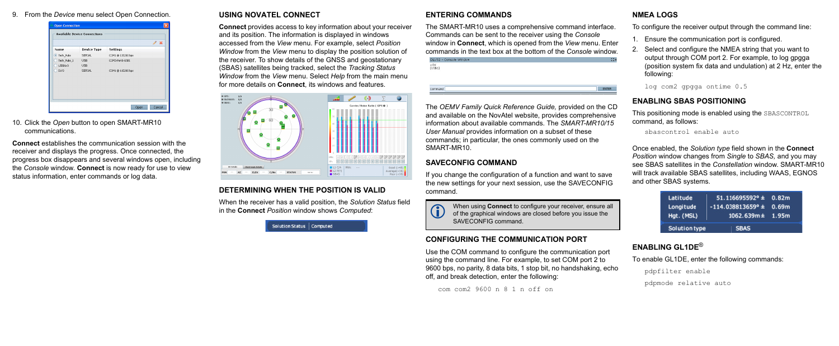9. From the *Device* menu select Open Connection.

|                        |                          |                   | I<br>- 36 |
|------------------------|--------------------------|-------------------|-----------|
| Name                   | <b>Device Type</b>       | Settings          |           |
| ● Tech_Pubs            | SERIAL                   | COM1 @ 115200 bps |           |
| Tech_Pubs_1<br>USBDLv3 | <b>USB</b><br><b>USB</b> | COM3-Port0-USB1   |           |
| DLV3                   | SERIAL                   | COM1 @ 115200 bps |           |
|                        |                          |                   |           |

10. Click the *Open* button to open SMART-MR10 communications.

**Connect** establishes the communication session with the receiver and displays the progress. Once connected, the progress box disappears and several windows open, including the *Console* window. **Connect** is now ready for use to view status information, enter commands or log data.

#### **USING NOVATEL CONNECT**

The SMART-MR10 uses a comprehensive command interface. Commands can be sent to the receiver using the *Console* window in **Connect**, which is opened from the *View* menu. Enter commands in the text box at the bottom of the *Console* window. DLV32 - Console Window  $50K$ <br>fusb11 ENTER Command

**Connect** provides access to key information about your receiver and its position. The information is displayed in windows accessed from the *View* menu. For example, select *Position Window* from the *View* menu to display the position solution of the receiver. To show details of the GNSS and geostationary (SBAS) satellites being tracked, select the *Tracking Status Window* from the *View* menu. Select *Help* from the main menu for more details on **Connect**, its windows and features.



#### **DETERMINING WHEN THE POSITION IS VALID**

When the receiver has a valid position, the *Solution Status* field in the **Connect** *Position* window shows *Computed*:

Solution Status | Computed

#### **ENTERING COMMANDS**

The *OEMV Family Quick Reference Guide,* provided on the CD and available on the NovAtel website, provides comprehensive information about available commands. The *SMART-MR10/15 User Manual* provides information on a subset of these commands; in particular, the ones commonly used on the SMART-MR10.

When using **Connect** to configure your receiver, ensure all<br>
of the graphical windows are closed before you issue the<br>
of the graphical surface of the state of the state in the state of the state of the state of the state SAVECONFIG command.

### **SAVECONFIG COMMAND**

If you change the configuration of a function and want to save the new settings for your next session, use the SAVECONFIG command.



## **CONFIGURING THE COMMUNICATION PORT**

Use the COM command to configure the communication port using the command line. For example, to set COM port 2 to 9600 bps, no parity, 8 data bits, 1 stop bit, no handshaking, echo off, and break detection, enter the following:

com com2 9600 n 8 1 n off on

#### **NMEA LOGS**

To configure the receiver output through the command line:

- 1. Ensure the communication port is configured.
- 2. Select and configure the NMEA string that you want to output through COM port 2. For example, to log gpgga (position system fix data and undulation) at 2 Hz, enter the following:

log com2 gpgga ontime 0.5

## **ENABLING SBAS POSITIONING**

This positioning mode is enabled using the SBASCONTROL command, as follows:

```
sbascontrol enable auto
```
Once enabled, the *Solution type* field shown in the **Connect** *Position* window changes from *Single* to *SBAS,* and you may see SBAS satellites in the *Constellation* window. SMART-MR10 will track available SBAS satellites, including WAAS, EGNOS and other SBAS systems.

| Latitude<br>Longitude<br>Hgt. (MSL) | $51.116695592° \pm 0.82m$<br>$-114.038813659^{\circ} \pm 0.69m$<br>$1062.639m \pm 1.95m$ |  |
|-------------------------------------|------------------------------------------------------------------------------------------|--|
| Solution type                       | <b>SBAS</b>                                                                              |  |

## **ENABLING GL1DE**®

To enable GL1DE, enter the following commands:

```
pdpfilter enable
pdpmode relative auto
```